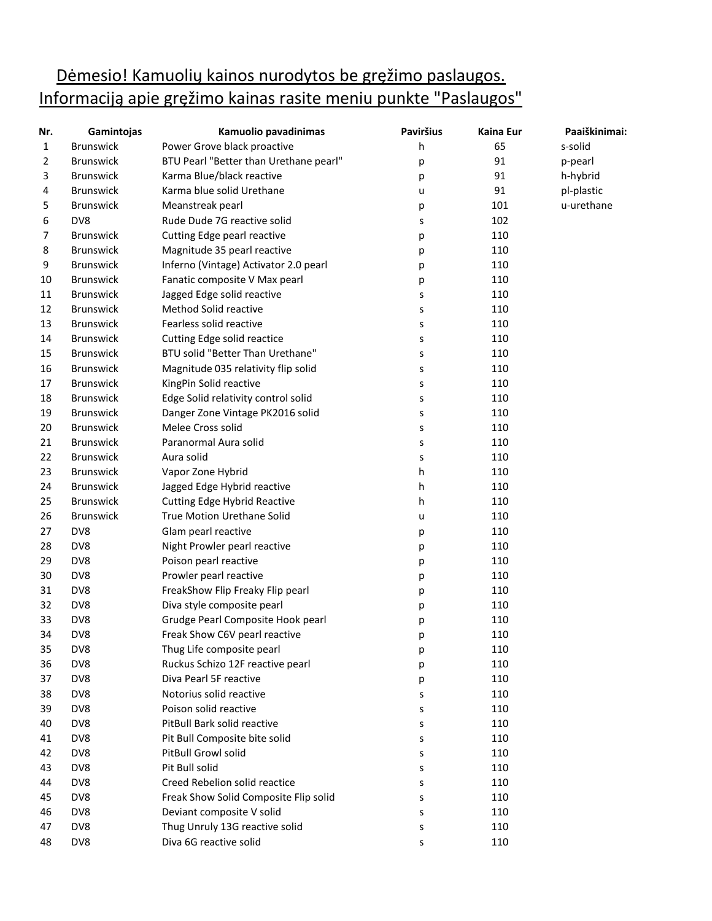## Dėmesio! Kamuolių kainos nurodytos be gręžimo paslaugos. Informaciją apie gręžimo kainas rasite meniu punkte "Paslaugos"

| Nr.            | Gamintojas       | Kamuolio pavadinimas                   | <b>Paviršius</b> | Kaina Eur | Paaiškinimai: |
|----------------|------------------|----------------------------------------|------------------|-----------|---------------|
| $\mathbf{1}$   | <b>Brunswick</b> | Power Grove black proactive            | h                | 65        | s-solid       |
| $\overline{2}$ | <b>Brunswick</b> | BTU Pearl "Better than Urethane pearl" | р                | 91        | p-pearl       |
| 3              | <b>Brunswick</b> | Karma Blue/black reactive              | р                | 91        | h-hybrid      |
| 4              | <b>Brunswick</b> | Karma blue solid Urethane              | u                | 91        | pl-plastic    |
| 5              | <b>Brunswick</b> | Meanstreak pearl                       | р                | 101       | u-urethane    |
| 6              | DV8              | Rude Dude 7G reactive solid            | s                | 102       |               |
| 7              | <b>Brunswick</b> | Cutting Edge pearl reactive            | р                | 110       |               |
| 8              | <b>Brunswick</b> | Magnitude 35 pearl reactive            | р                | 110       |               |
| 9              | <b>Brunswick</b> | Inferno (Vintage) Activator 2.0 pearl  | р                | 110       |               |
| 10             | <b>Brunswick</b> | Fanatic composite V Max pearl          | р                | 110       |               |
| 11             | <b>Brunswick</b> | Jagged Edge solid reactive             | S                | 110       |               |
| 12             | <b>Brunswick</b> | Method Solid reactive                  | S                | 110       |               |
| 13             | <b>Brunswick</b> | Fearless solid reactive                | S                | 110       |               |
| 14             | <b>Brunswick</b> | Cutting Edge solid reactice            | s                | 110       |               |
| 15             | <b>Brunswick</b> | BTU solid "Better Than Urethane"       | s                | 110       |               |
| 16             | <b>Brunswick</b> | Magnitude 035 relativity flip solid    | s                | 110       |               |
| 17             | <b>Brunswick</b> | KingPin Solid reactive                 | s                | 110       |               |
| 18             | <b>Brunswick</b> | Edge Solid relativity control solid    | s                | 110       |               |
| 19             | <b>Brunswick</b> | Danger Zone Vintage PK2016 solid       | S                | 110       |               |
| 20             | <b>Brunswick</b> | Melee Cross solid                      | S                | 110       |               |
| 21             | <b>Brunswick</b> | Paranormal Aura solid                  | S                | 110       |               |
| 22             | <b>Brunswick</b> | Aura solid                             | S                | 110       |               |
| 23             | <b>Brunswick</b> | Vapor Zone Hybrid                      | h                | 110       |               |
| 24             | <b>Brunswick</b> | Jagged Edge Hybrid reactive            | h                | 110       |               |
| 25             | <b>Brunswick</b> | <b>Cutting Edge Hybrid Reactive</b>    | h                | 110       |               |
| 26             | <b>Brunswick</b> | True Motion Urethane Solid             | u                | 110       |               |
| 27             | DV8              | Glam pearl reactive                    | р                | 110       |               |
| 28             | DV8              | Night Prowler pearl reactive           | р                | 110       |               |
| 29             | DV8              | Poison pearl reactive                  | р                | 110       |               |
| 30             | DV8              | Prowler pearl reactive                 | р                | 110       |               |
| 31             | DV8              | FreakShow Flip Freaky Flip pearl       | р                | 110       |               |
| 32             | DV8              | Diva style composite pearl             | р                | 110       |               |
| 33             | DV8              | Grudge Pearl Composite Hook pearl      | р                | 110       |               |
| 34             | DV8              | Freak Show C6V pearl reactive          | р                | 110       |               |
| 35             | DV8              | Thug Life composite pearl              | р                | 110       |               |
| 36             | DV8              | Ruckus Schizo 12F reactive pearl       | р                | 110       |               |
| 37             | DV8              | Diva Pearl 5F reactive                 | р                | 110       |               |
| 38             | DV8              | Notorius solid reactive                | s                | 110       |               |
| 39             | DV8              | Poison solid reactive                  | s                | 110       |               |
| 40             | DV8              | PitBull Bark solid reactive            | s                | 110       |               |
| 41             | DV8              | Pit Bull Composite bite solid          | s                | 110       |               |
| 42             | DV8              | PitBull Growl solid                    | s                | 110       |               |
| 43             | DV8              | Pit Bull solid                         | s                | 110       |               |
| 44             | DV8              | Creed Rebelion solid reactice          | s                | 110       |               |
| 45             | DV8              | Freak Show Solid Composite Flip solid  | s                | 110       |               |
| 46             | DV8              | Deviant composite V solid              | S                | 110       |               |
| 47             | DV8              | Thug Unruly 13G reactive solid         | S                | 110       |               |
| 48             | DV8              | Diva 6G reactive solid                 | S                | 110       |               |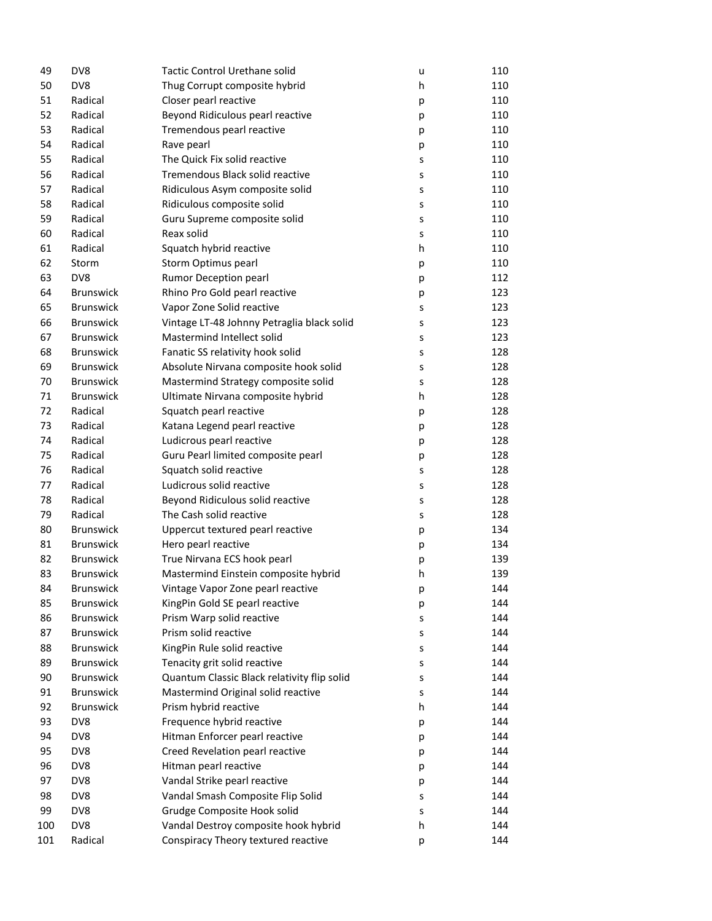| 49  | DV8              | Tactic Control Urethane solid               | u | 110 |
|-----|------------------|---------------------------------------------|---|-----|
| 50  | DV8              | Thug Corrupt composite hybrid               | h | 110 |
| 51  | Radical          | Closer pearl reactive                       | р | 110 |
| 52  | Radical          | Beyond Ridiculous pearl reactive            | р | 110 |
| 53  | Radical          | Tremendous pearl reactive                   | р | 110 |
| 54  | Radical          | Rave pearl                                  | р | 110 |
| 55  | Radical          | The Quick Fix solid reactive                | s | 110 |
| 56  | Radical          | Tremendous Black solid reactive             | s | 110 |
| 57  | Radical          | Ridiculous Asym composite solid             | S | 110 |
| 58  | Radical          | Ridiculous composite solid                  | S | 110 |
| 59  | Radical          | Guru Supreme composite solid                | S | 110 |
| 60  | Radical          | Reax solid                                  | s | 110 |
| 61  | Radical          | Squatch hybrid reactive                     | h | 110 |
| 62  | Storm            | Storm Optimus pearl                         | р | 110 |
| 63  | DV8              | Rumor Deception pearl                       | р | 112 |
| 64  | <b>Brunswick</b> | Rhino Pro Gold pearl reactive               | р | 123 |
| 65  | <b>Brunswick</b> | Vapor Zone Solid reactive                   | S | 123 |
| 66  | <b>Brunswick</b> | Vintage LT-48 Johnny Petraglia black solid  | s | 123 |
| 67  | <b>Brunswick</b> | Mastermind Intellect solid                  | s | 123 |
| 68  | <b>Brunswick</b> | Fanatic SS relativity hook solid            | s | 128 |
| 69  | <b>Brunswick</b> | Absolute Nirvana composite hook solid       | s | 128 |
| 70  | <b>Brunswick</b> | Mastermind Strategy composite solid         | s | 128 |
| 71  | <b>Brunswick</b> | Ultimate Nirvana composite hybrid           | h | 128 |
| 72  | Radical          | Squatch pearl reactive                      | р | 128 |
| 73  | Radical          | Katana Legend pearl reactive                | р | 128 |
| 74  | Radical          | Ludicrous pearl reactive                    | р | 128 |
| 75  | Radical          | Guru Pearl limited composite pearl          | р | 128 |
| 76  | Radical          | Squatch solid reactive                      | s | 128 |
| 77  | Radical          | Ludicrous solid reactive                    | s | 128 |
| 78  | Radical          | Beyond Ridiculous solid reactive            | s | 128 |
| 79  | Radical          | The Cash solid reactive                     | S | 128 |
| 80  | <b>Brunswick</b> | Uppercut textured pearl reactive            | р | 134 |
| 81  | <b>Brunswick</b> | Hero pearl reactive                         | р | 134 |
| 82  | <b>Brunswick</b> | True Nirvana ECS hook pearl                 | р | 139 |
| 83  | <b>Brunswick</b> | Mastermind Einstein composite hybrid        | h | 139 |
| 84  | <b>Brunswick</b> | Vintage Vapor Zone pearl reactive           | р | 144 |
| 85  | <b>Brunswick</b> | KingPin Gold SE pearl reactive              | р | 144 |
| 86  | <b>Brunswick</b> | Prism Warp solid reactive                   | s | 144 |
| 87  | <b>Brunswick</b> | Prism solid reactive                        | s | 144 |
| 88  | <b>Brunswick</b> | KingPin Rule solid reactive                 | s | 144 |
| 89  | <b>Brunswick</b> | Tenacity grit solid reactive                | s | 144 |
| 90  | <b>Brunswick</b> | Quantum Classic Black relativity flip solid | s | 144 |
| 91  | <b>Brunswick</b> | Mastermind Original solid reactive          | s | 144 |
| 92  | <b>Brunswick</b> | Prism hybrid reactive                       | h | 144 |
| 93  | DV8              | Frequence hybrid reactive                   | р | 144 |
| 94  | DV8              | Hitman Enforcer pearl reactive              | р | 144 |
| 95  | DV8              | Creed Revelation pearl reactive             | р | 144 |
| 96  | DV8              | Hitman pearl reactive                       | р | 144 |
| 97  | DV8              | Vandal Strike pearl reactive                | р | 144 |
| 98  | DV8              | Vandal Smash Composite Flip Solid           | S | 144 |
| 99  | DV8              | Grudge Composite Hook solid                 | s | 144 |
| 100 | DV8              | Vandal Destroy composite hook hybrid        | h | 144 |
| 101 | Radical          | Conspiracy Theory textured reactive         | р | 144 |